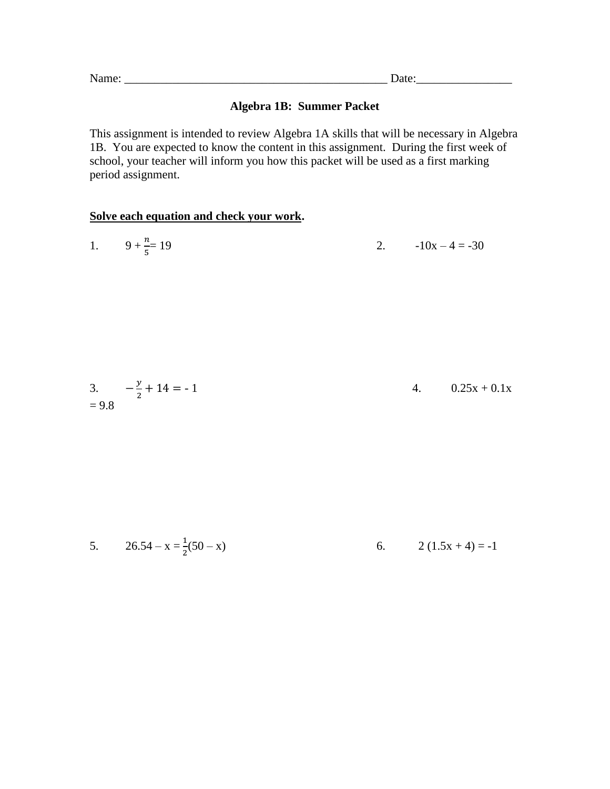Name: \_\_\_\_\_\_\_\_\_\_\_\_\_\_\_\_\_\_\_\_\_\_\_\_\_\_\_\_\_\_\_\_\_\_\_\_\_\_\_\_\_\_\_\_ Date:\_\_\_\_\_\_\_\_\_\_\_\_\_\_\_\_

### **Algebra 1B: Summer Packet**

This assignment is intended to review Algebra 1A skills that will be necessary in Algebra 1B. You are expected to know the content in this assignment. During the first week of school, your teacher will inform you how this packet will be used as a first marking period assignment.

#### **Solve each equation and check your work.**

| 1. $9 + \frac{n}{5} = 19$ |  | 2. $-10x-4 = -30$ |
|---------------------------|--|-------------------|
|---------------------------|--|-------------------|

3. 
$$
-\frac{y}{2} + 14 = -1
$$
  
= 9.8 4. 0.25x + 0.1x

5. 
$$
26.54 - x = \frac{1}{2}(50 - x)
$$
 6.  $2(1.5x + 4) = -1$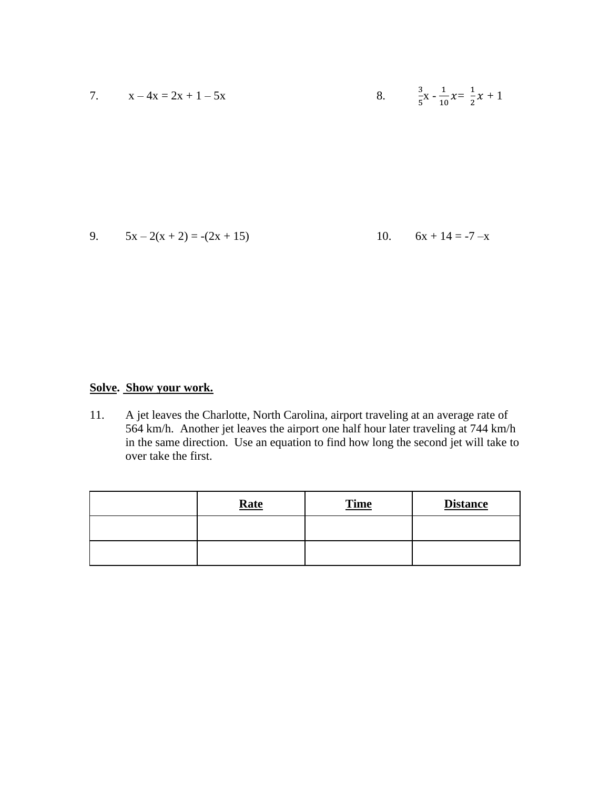7. 
$$
x - 4x = 2x + 1 - 5x
$$
  
\n8.  $\frac{3}{5}x - \frac{1}{10}x = \frac{1}{2}x + 1$   
\n9.  $5x - 2(x + 2) = -(2x + 15)$   
\n10.  $6x + 14 = -7 - x$ 

### **Solve. Show your work.**

11. A jet leaves the Charlotte, North Carolina, airport traveling at an average rate of 564 km/h. Another jet leaves the airport one half hour later traveling at 744 km/h in the same direction. Use an equation to find how long the second jet will take to over take the first.

| <b>Rate</b> | <b>Time</b> | <b>Distance</b> |
|-------------|-------------|-----------------|
|             |             |                 |
|             |             |                 |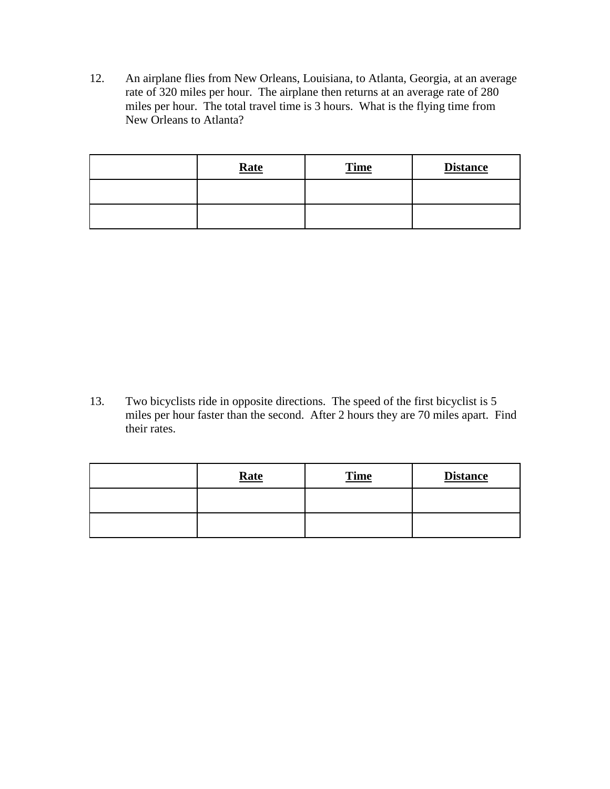12. An airplane flies from New Orleans, Louisiana, to Atlanta, Georgia, at an average rate of 320 miles per hour. The airplane then returns at an average rate of 280 miles per hour. The total travel time is 3 hours. What is the flying time from New Orleans to Atlanta?

| <b>Rate</b> | <b>Time</b> | <b>Distance</b> |
|-------------|-------------|-----------------|
|             |             |                 |
|             |             |                 |

13. Two bicyclists ride in opposite directions. The speed of the first bicyclist is 5 miles per hour faster than the second. After 2 hours they are 70 miles apart. Find their rates.

| <b>Rate</b> | <b>Time</b> | <b>Distance</b> |
|-------------|-------------|-----------------|
|             |             |                 |
|             |             |                 |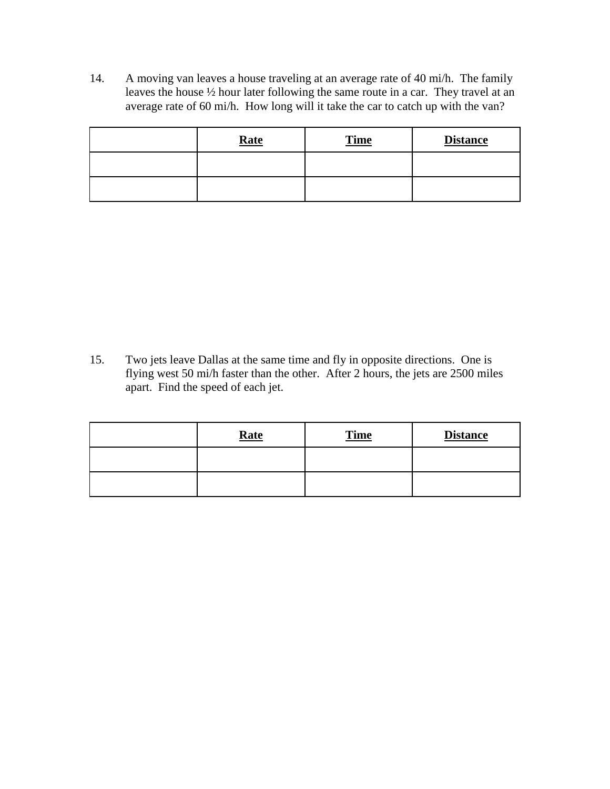14. A moving van leaves a house traveling at an average rate of 40 mi/h. The family leaves the house ½ hour later following the same route in a car. They travel at an average rate of 60 mi/h. How long will it take the car to catch up with the van?

| Rate | <b>Time</b> | <b>Distance</b> |
|------|-------------|-----------------|
|      |             |                 |
|      |             |                 |

15. Two jets leave Dallas at the same time and fly in opposite directions. One is flying west 50 mi/h faster than the other. After 2 hours, the jets are 2500 miles apart. Find the speed of each jet.

| Rate | <b>Time</b> | <b>Distance</b> |
|------|-------------|-----------------|
|      |             |                 |
|      |             |                 |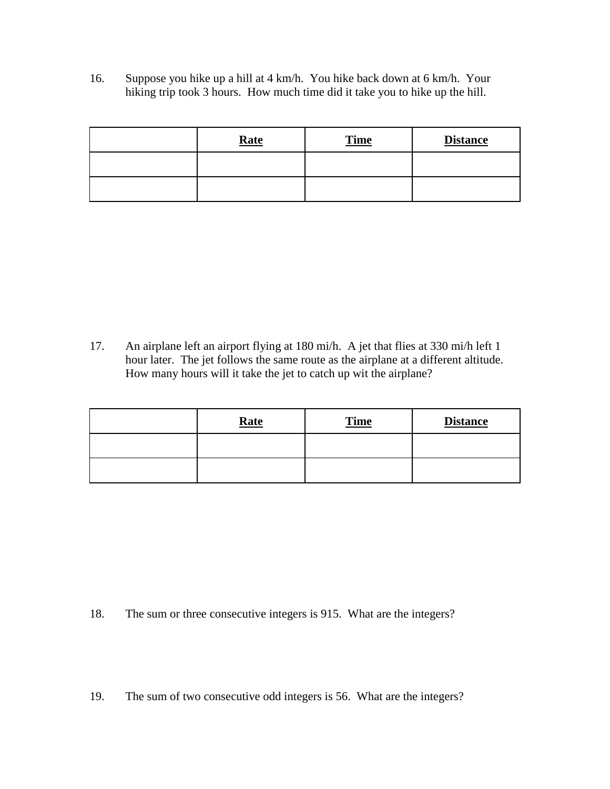16. Suppose you hike up a hill at 4 km/h. You hike back down at 6 km/h. Your hiking trip took 3 hours. How much time did it take you to hike up the hill.

| Rate | <b>Time</b> | <b>Distance</b> |
|------|-------------|-----------------|
|      |             |                 |
|      |             |                 |

17. An airplane left an airport flying at 180 mi/h. A jet that flies at 330 mi/h left 1 hour later. The jet follows the same route as the airplane at a different altitude. How many hours will it take the jet to catch up wit the airplane?

| Rate | <b>Time</b> | <b>Distance</b> |
|------|-------------|-----------------|
|      |             |                 |
|      |             |                 |

18. The sum or three consecutive integers is 915. What are the integers?

19. The sum of two consecutive odd integers is 56. What are the integers?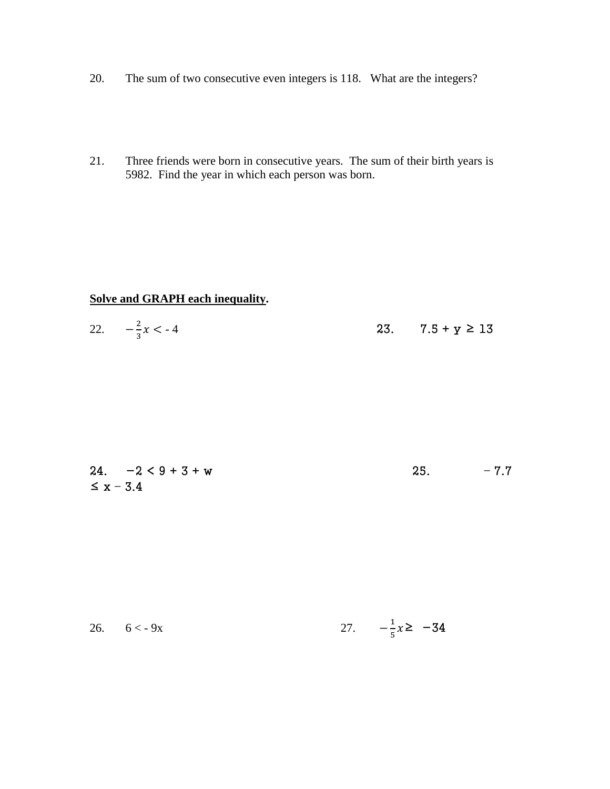- The sum of two consecutive even integers is 118. What are the integers? 20.
- Three friends were born in consecutive years. The sum of their birth years is 21. 5982. Find the year in which each person was born.

### Solve and GRAPH each inequality.

| 22. $-\frac{2}{3}x < -4$ |  | 23. $7.5 + y \ge 13$ |
|--------------------------|--|----------------------|
|--------------------------|--|----------------------|

|                | $24. -2 < 9 + 3 + w$ | -25. | $-7.7$ |
|----------------|----------------------|------|--------|
| $\leq x - 3.4$ |                      |      |        |

27.  $-\frac{1}{5}x \geq -34$ 26.  $6 < -9x$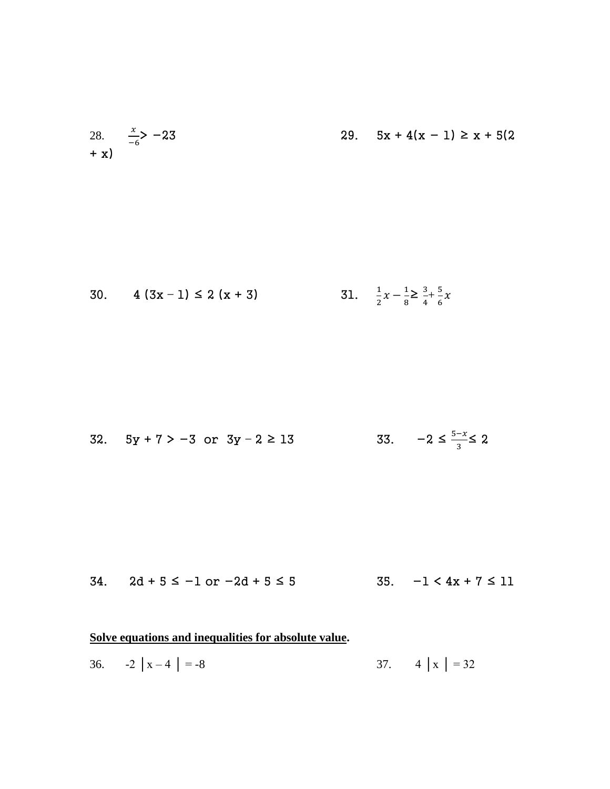28. 
$$
\frac{x}{-6}
$$
 - 23  
+ x) 29.  $5x + 4(x - 1) \ge x + 5(2$ 

30. 
$$
4(3x-1) \le 2(x+3)
$$
 31.  $\frac{1}{2}x - \frac{1}{8} \ge \frac{3}{4} + \frac{5}{6}x$ 

32. 
$$
5y + 7 > -3
$$
 or  $3y - 2 \ge 13$  33.  $-2 \le \frac{5-x}{3} \le 2$ 

34.  $2d + 5 \le -1$  or  $-2d + 5 \le 5$  35.  $-1 < 4x + 7 \le 11$ 

# **Solve equations and inequalities for absolute value.**

36.  $-2 |x-4| = -8$  37.  $4 |x| = 32$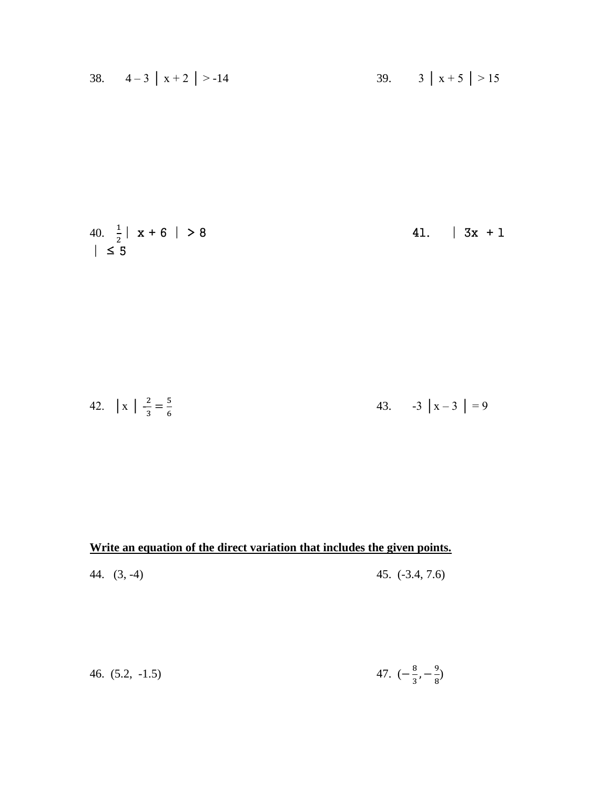38. 
$$
4-3 |x+2| > -14
$$
  
39.  $3 |x+5| > 15$ 

40. 
$$
\frac{1}{2}
$$
 | x + 6 | > 8  
 |  $\leq 5$  41. | 3x + 1

42. 
$$
\left| x \right| = \frac{2}{3} = \frac{5}{6}
$$
 43.  $-3 \left| x - 3 \right| = 9$ 

### **Write an equation of the direct variation that includes the given points.**

44. (3, -4) 45. (-3.4, 7.6)

46. (5.2, -1.5) 
$$
47. \left(-\frac{8}{3}, -\frac{9}{8}\right)
$$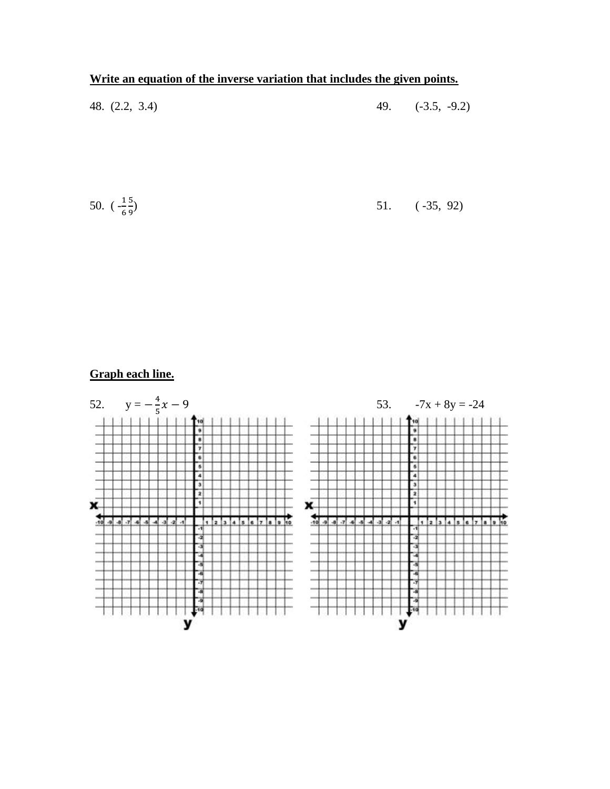### **Write an equation of the inverse variation that includes the given points.**

| 48. $(2.2, 3.4)$ |  | 49. $(-3.5, -9.2)$ |
|------------------|--|--------------------|
|                  |  |                    |

50. 
$$
\left(-\frac{15}{69}\right)
$$
 51. (-35, 92)

# **Graph each line.**

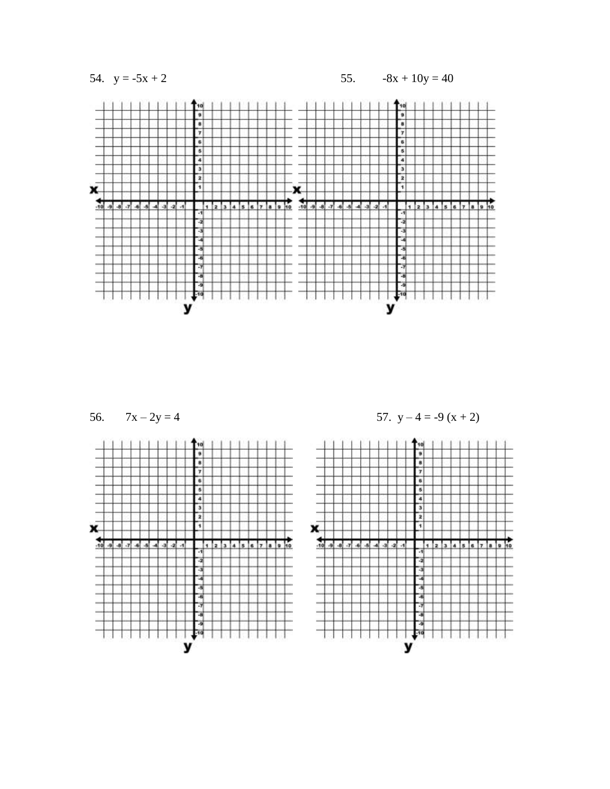54.  $y = -5x + 2$ 

 $-8x + 10y = 40$ 55.





57. 
$$
y - 4 = -9(x + 2)
$$